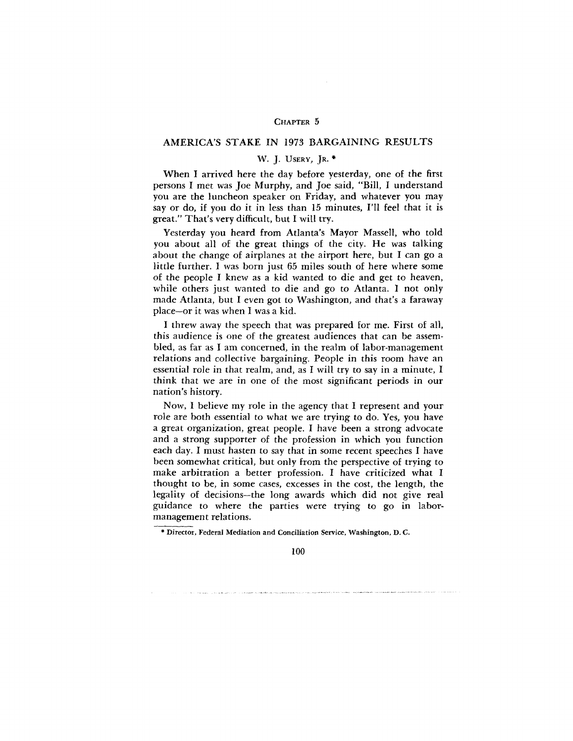## CHAPTER 5

## AMERICA'S STAKE IN 1973 BARGAINING RESULTS

## W. J. USERY, JR. \*

When I arrived here the day before yesterday, one of the first persons I met was Joe Murphy, and Joe said, "Bill, I understand you are the luncheon speaker on Friday, and whatever you may say or do, if you do it in less than 15 minutes, I'll feel that it is great." That's very difficult, but I will try.

Yesterday you heard from Atlanta's Mayor Massell, who told you about all of the great things of the city. He was talking about the change of airplanes at the airport here, but I can go a little further. I was born just 65 miles south of here where some of the people I knew as a kid wanted to die and get to heaven, while others just wanted to die and go to Atlanta. I not only made Atlanta, but I even got to Washington, and that's a faraway place—or it was when I was a kid.

I threw away the speech that was prepared for me. First of all, this audience is one of the greatest audiences that can be assembled, as far as I am concerned, in the realm of labor-management relations and collective bargaining. People in this room have an essential role in that realm, and, as I will try to say in a minute, I think that we are in one of the most significant periods in our nation's history.

Now, I believe my role in the agency that I represent and your role are both essential to what we are trying to do. Yes, you have a great organization, great people. I have been a strong advocate and a strong supporter of the profession in which you function each day. I must hasten to say that in some recent speeches I have been somewhat critical, but only from the perspective of trying to make arbitration a better profession. I have criticized what I thought to be, in some cases, excesses in the cost, the length, the legality of decisions—the long awards which did not give real guidance to where the parties were trying to go in labormanagement relations.

<sup>•</sup> Director, Federal Mediation and Conciliation Service, Washington, D. C.

<sup>100</sup>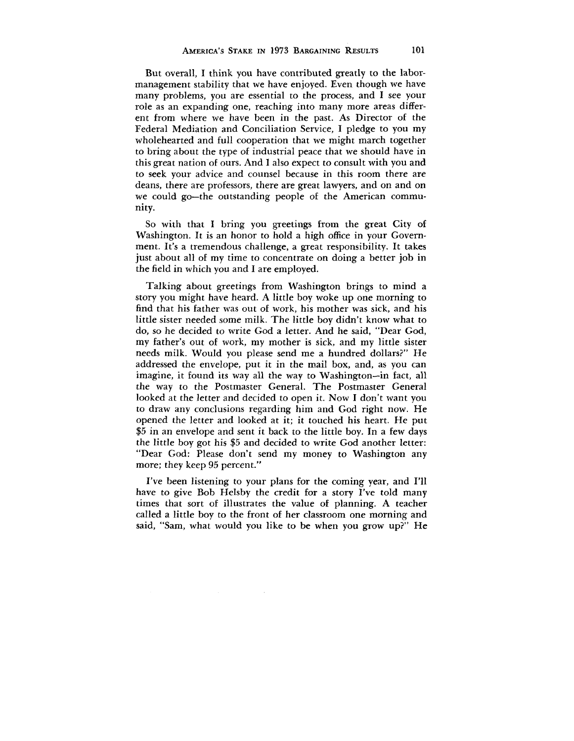But overall, I think you have contributed greatly to the labormanagement stability that we have enjoyed. Even though we have many problems, you are essential to the process, and I see your role as an expanding one, reaching into many more areas different from where we have been in the past. As Director of the Federal Mediation and Conciliation Service, I pledge to you my wholehearted and full cooperation that we might march together to bring about the type of industrial peace that we should have in this great nation of ours. And I also expect to consult with you and to seek your advice and counsel because in this room there are deans, there are professors, there are great lawyers, and on and on we could go—the outstanding people of the American community.

So with that I bring you greetings from the great City of Washington. It is an honor to hold a high office in your Government. It's a tremendous challenge, a great responsibility. It takes just about all of my time to concentrate on doing a better job in the field in which you and I are employed.

Talking about greetings from Washington brings to mind a story you might have heard. A little boy woke up one morning to find that his father was out of work, his mother was sick, and his little sister needed some milk. The little boy didn't know what to do, so he decided to write God a letter. And he said, "Dear God, my father's out of work, my mother is sick, and my little sister needs milk. Would you please send me a hundred dollars?" He addressed the envelope, put it in the mail box, and, as you can imagine, it found its way all the way to Washington—in fact, all the way to the Postmaster General. The Postmaster General looked at the letter and decided to open it. Now I don't want you to draw any conclusions regarding him and God right now. He opened the letter and looked at it; it touched his heart. He put \$5 in an envelope and sent it back to the little boy. In a few days the little boy got his \$5 and decided to write God another letter: "Dear God: Please don't send my money to Washington any more; they keep 95 percent."

I've been listening to your plans for the coming year, and I'll have to give Bob Helsby the credit for a story I've told many times that sort of illustrates the value of planning. A teacher called a little boy to the front of her classroom one morning and said, "Sam, what would you like to be when you grow up?" He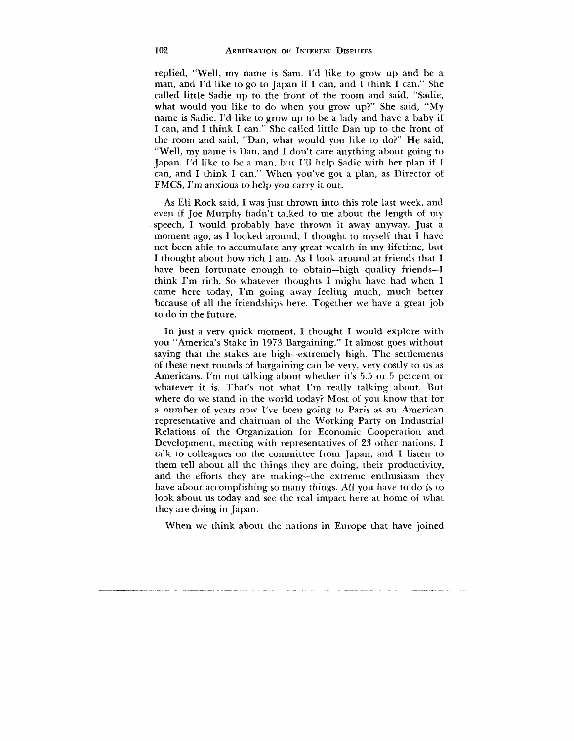replied, "Well, my name is Sam. I'd like to grow up and be a man, and I'd like to go to Japan if I can, and I think I can." She called little Sadie up to the front of the room and said, "Sadie, what would you like to do when you grow up?" She said, "My name is Sadie. I'd like to grow up to be a lady and have a baby if I can, and I think I can." She called little Dan up to the front of the room and said, "Dan, what would you like to do?" He said, "Well, my name is Dan, and I don't care anything about going to Japan. I'd like to be a man, but I'll help Sadie with her plan if I can, and I think I can." When you've got a plan, as Director of FMCS, I'm anxious to help you carry it out.

As Eli Rock said, I was just thrown into this role last week, and even if Joe Murphy hadn't talked to me about the length of my speech, I would probably have thrown it away anyway. Just a moment ago, as I looked around, I thought to myself that I have not been able to accumulate any great wealth in my lifetime, but I thought about how rich I am. As I look around at friends that I have been fortunate enough to obtain—high quality friends—I think I'm rich. So whatever thoughts I might have had when I came here today, I'm going away feeling much, much better because of all the friendships here. Together we have a great job to do in the future.

In just a very quick moment, I thought I would explore with you "America's Stake in 1973 Bargaining." It almost goes without saying that the stakes are high-extremely high. The settlements of these next rounds of bargaining can be very, very costly to us as Americans. I'm not talking about whether it's 5.5 or 5 percent or whatever it is. That's not what I'm really talking about. But where do we stand in the world today? Most of you know that for a number of years now I've been going to Paris as an American representative and chairman of the Working Party on Industrial Relations of the Organization for Economic Cooperation and Development, meeting with representatives of 23 other nations. I talk to colleagues on the committee from Japan, and I listen to them tell about all the things they are doing, their productivity, and the efforts they are making—the extreme enthusiasm they have about accomplishing so many things. All you have to do is to look about us today and see the real impact here at home of what they are doing in Japan.

When we think about the nations in Europe that have joined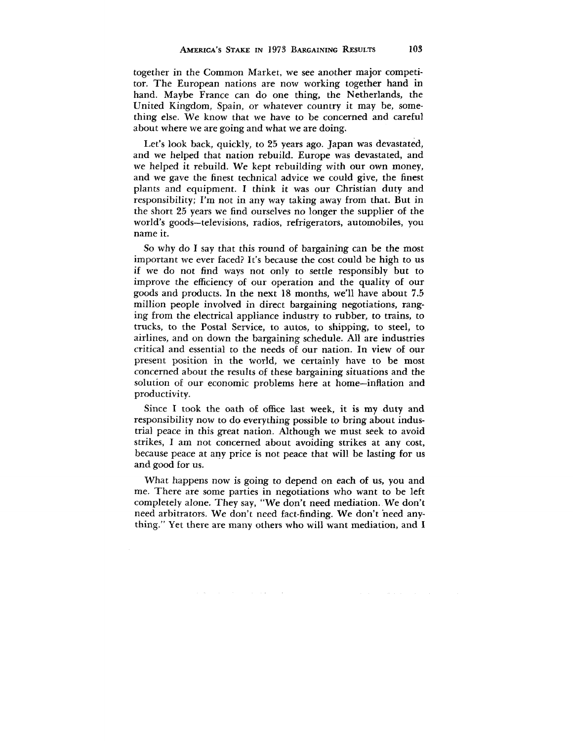together in the Common Market, we see another major competitor. The European nations are now working together hand in hand. Maybe France can do one thing, the Netherlands, the United Kingdom, Spain, or whatever country it may be, something else. We know that we have to be concerned and careful about where we are going and what we are doing.

Let's look back, quickly, to 25 years ago. Japan was devastated, and we helped that nation rebuild. Europe was devastated, and we helped it rebuild. We kept rebuilding with our own money, and we gave the finest technical advice we could give, the finest plants and equipment. I think it was our Christian duty and responsibility; I'm not in any way taking away from that. But in the short 25 years we find ourselves no longer the supplier of the world's goods—televisions, radios, refrigerators, automobiles, you name it.

So why do I say that this round of bargaining can be the most important we ever faced? It's because the cost could be high to us if we do not find ways not only to settle responsibly but to improve the efficiency of our operation and the quality of our goods and products. In the next 18 months, we'll have about 7.5 million people involved in direct bargaining negotiations, ranging from the electrical appliance industry to rubber, to trains, to trucks, to the Postal Service, to autos, to shipping, to steel, to airlines, and on down the bargaining schedule. All are industries critical and essential to the needs of our nation. In view of our present position in the world, we certainly have to be most concerned about the results of these bargaining situations and the solution of our economic problems here at home—inflation and productivity.

Since I took the oath of office last week, it is my duty and responsibility now to do everything possible to bring about industrial peace in this great nation. Although we must seek to avoid strikes, I am not concerned about avoiding strikes at any cost, because peace at any price is not peace that will be lasting for us and good for us.

What happens now is going to depend on each of us, you and me. There are some parties in negotiations who want to be left completely alone. They say, "We don't need mediation. We don't need arbitrators. We don't need fact-finding. We don't need anything." Yet there are many others who will want mediation, and I

 $\mathcal{A}(\mathbf{a})$  and  $\mathcal{A}(\mathbf{a})$  are the set of the set of  $\mathcal{A}(\mathbf{a})$  and  $\mathcal{A}(\mathbf{a})$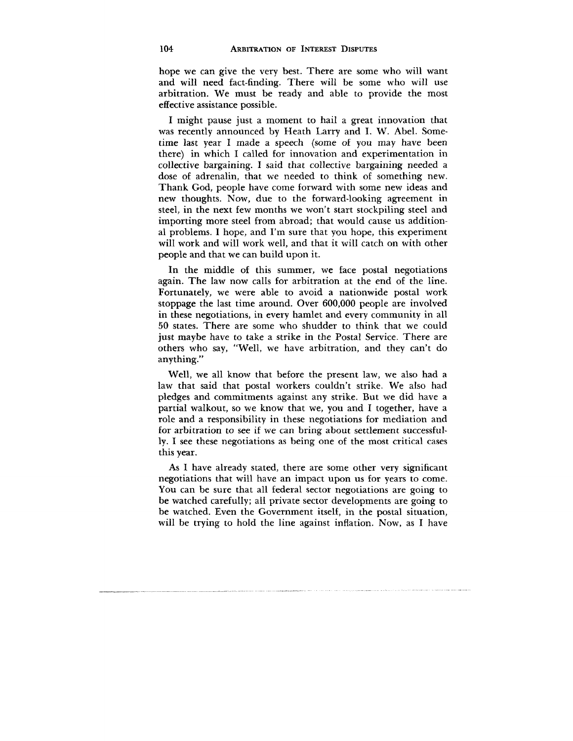hope we can give the very best. There are some who will want and will need fact-finding. There will be some who will use arbitration. We must be ready and able to provide the most effective assistance possible.

I might pause just a moment to hail a great innovation that was recently announced by Heath Larry and I. W. Abel. Sometime last year I made a speech (some of you may have been there) in which I called for innovation and experimentation in collective bargaining. I said that collective bargaining needed a dose of adrenalin, that we needed to think of something new. Thank God, people have come forward with some new ideas and new thoughts. Now, due to the forward-looking agreement in steel, in the next few months we won't start stockpiling steel and importing more steel from abroad; that would cause us additional problems. I hope, and I'm sure that you hope, this experiment will work and will work well, and that it will catch on with other people and that we can build upon it.

In the middle of this summer, we face postal negotiations again. The law now calls for arbitration at the end of the line. Fortunately, we were able to avoid a nationwide postal work stoppage the last time around. Over 600,000 people are involved in these negotiations, in every hamlet and every community in all 50 states. There are some who shudder to think that we could just maybe have to take a strike in the Postal Service. There are others who say, "Well, we have arbitration, and they can't do anything."

Well, we all know that before the present law, we also had a law that said that postal workers couldn't strike. We also had pledges and commitments against any strike. But we did have a partial walkout, so we know that we, you and I together, have a role and a responsibility in these negotiations for mediation and for arbitration to see if we can bring about settlement successfully. I see these negotiations as being one of the most critical cases this year.

As I have already stated, there are some other very significant negotiations that will have an impact upon us for years to come. You can be sure that all federal sector negotiations are going to be watched carefully; all private sector developments are going to be watched. Even the Government itself, in the postal situation, will be trying to hold the line against inflation. Now, as I have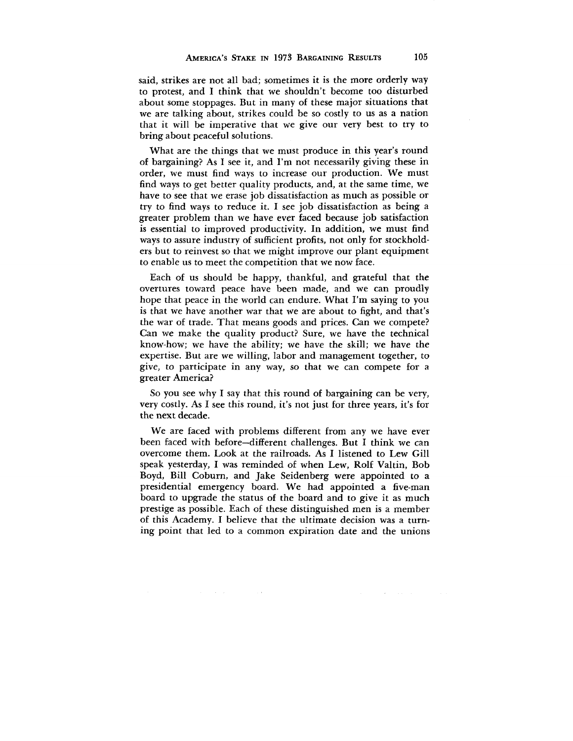said, strikes are not all bad; sometimes it is the more orderly way to protest, and I think that we shouldn't become too disturbed about some stoppages. But in many of these major situations that we are talking about, strikes could be so costly to us as a nation that it will be imperative that we give our very best to try to bring about peaceful solutions.

What are the things that we must produce in this year's round of bargaining? As I see it, and I'm not necessarily giving these in order, we must find ways to increase our production. We must find ways to get better quality products, and, at the same time, we have to see that we erase job dissatisfaction as much as possible or try to find ways to reduce it. I see job dissatisfaction as being a greater problem than we have ever faced because job satisfaction is essential to improved productivity. In addition, we must find ways to assure industry of sufficient profits, not only for stockholders but to reinvest so that we might improve our plant equipment to enable us to meet the competition that we now face.

Each of us should be happy, thankful, and grateful that the overtures toward peace have been made, and we can proudly hope that peace in the world can endure. What I'm saying to you is that we have another war that we are about to fight, and that's the war of trade. That means goods and prices. Can we compete? Can we make the quality product? Sure, we have the technical know-how; we have the ability; we have the skill; we have the expertise. But are we willing, labor and management together, to give, to participate in any way, so that we can compete for a greater America?

So you see why I say that this round of bargaining can be very, very costly. As I see this round, it's not just for three years, it's for the next decade.

We are faced with problems different from any we have ever been faced with before—different challenges. But I think we can overcome them. Look at the railroads. As I listened to Lew Gill speak yesterday, I was reminded of when Lew, Rolf Valtin, Bob Boyd, Bill Coburn, and Jake Seidenberg were appointed to a presidential emergency board. We had appointed a five-man board to upgrade the status of the board and to give it as much prestige as possible. Each of these distinguished men is a member of this Academy. I believe that the ultimate decision was a turning point that led to a common expiration date and the unions

 $\sim 10^{-11}$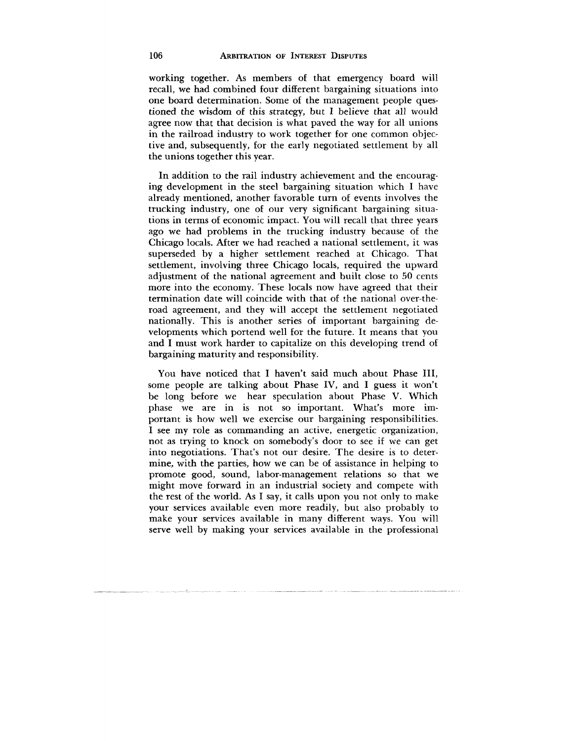working together. As members of that emergency board will recall, we had combined four different bargaining situations into one board determination. Some of the management people questioned the wisdom of this strategy, but I believe that all would agree now that that decision is what paved the way for all unions in the railroad industry to work together for one common objective and, subsequently, for the early negotiated settlement by all the unions together this year.

In addition to the rail industry achievement and the encouraging development in the steel bargaining situation which I have already mentioned, another favorable turn of events involves the trucking industry, one of our very significant bargaining situations in terms of economic impact. You will recall that three years ago we had problems in the trucking industry because of the Chicago locals. After we had reached a national settlement, it was superseded by a higher settlement reached at Chicago. That settlement, involving three Chicago locals, required the upward adjustment of the national agreement and built close to 50 cents more into the economy. These locals now have agreed that their termination date will coincide with that of the national over-theroad agreement, and they will accept the settlement negotiated nationally. This is another series of important bargaining developments which portend well for the future. It means that you and I must work harder to capitalize on this developing trend of bargaining maturity and responsibility.

You have noticed that I haven't said much about Phase III, some people are talking about Phase IV, and I guess it won't be long before we hear speculation about Phase V. Which phase we are in is not so important. What's more important is how well we exercise our bargaining responsibilities. I see my role as commanding an active, energetic organization, not as trying to knock on somebody's door to see if we can get into negotiations. That's not our desire. The desire is to determine, with the parties, how we can be of assistance in helping to promote good, sound, labor-management relations so that we might move forward in an industrial society and compete with the rest of the world. As I say, it calls upon you not only to make your services available even more readily, but also probably to make your services available in many different ways. You will serve well by making your services available in the professional